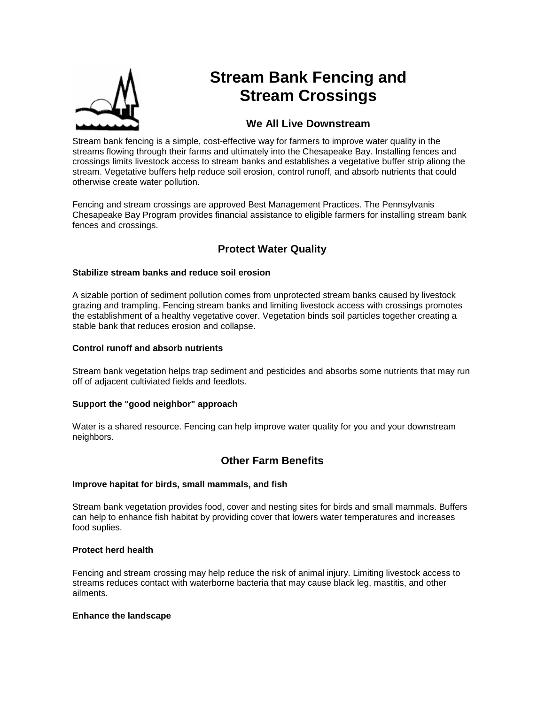

# **Stream Bank Fencing and Stream Crossings**

# **We All Live Downstream**

Stream bank fencing is a simple, cost-effective way for farmers to improve water quality in the streams flowing through their farms and ultimately into the Chesapeake Bay. Installing fences and crossings limits livestock access to stream banks and establishes a vegetative buffer strip aliong the stream. Vegetative buffers help reduce soil erosion, control runoff, and absorb nutrients that could otherwise create water pollution.

Fencing and stream crossings are approved Best Management Practices. The Pennsylvanis Chesapeake Bay Program provides financial assistance to eligible farmers for installing stream bank fences and crossings.

# **Protect Water Quality**

## **Stabilize stream banks and reduce soil erosion**

A sizable portion of sediment pollution comes from unprotected stream banks caused by livestock grazing and trampling. Fencing stream banks and limiting livestock access with crossings promotes the establishment of a healthy vegetative cover. Vegetation binds soil particles together creating a stable bank that reduces erosion and collapse.

## **Control runoff and absorb nutrients**

Stream bank vegetation helps trap sediment and pesticides and absorbs some nutrients that may run off of adjacent cultiviated fields and feedlots.

## **Support the "good neighbor" approach**

Water is a shared resource. Fencing can help improve water quality for you and your downstream neighbors.

# **Other Farm Benefits**

## **Improve hapitat for birds, small mammals, and fish**

Stream bank vegetation provides food, cover and nesting sites for birds and small mammals. Buffers can help to enhance fish habitat by providing cover that lowers water temperatures and increases food suplies.

## **Protect herd health**

Fencing and stream crossing may help reduce the risk of animal injury. Limiting livestock access to streams reduces contact with waterborne bacteria that may cause black leg, mastitis, and other ailments.

## **Enhance the landscape**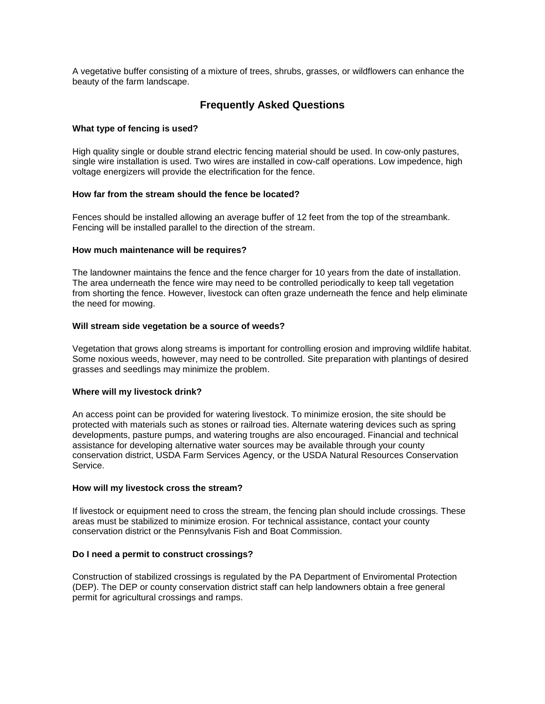A vegetative buffer consisting of a mixture of trees, shrubs, grasses, or wildflowers can enhance the beauty of the farm landscape.

## **Frequently Asked Questions**

## **What type of fencing is used?**

High quality single or double strand electric fencing material should be used. In cow-only pastures, single wire installation is used. Two wires are installed in cow-calf operations. Low impedence, high voltage energizers will provide the electrification for the fence.

## **How far from the stream should the fence be located?**

Fences should be installed allowing an average buffer of 12 feet from the top of the streambank. Fencing will be installed parallel to the direction of the stream.

#### **How much maintenance will be requires?**

The landowner maintains the fence and the fence charger for 10 years from the date of installation. The area underneath the fence wire may need to be controlled periodically to keep tall vegetation from shorting the fence. However, livestock can often graze underneath the fence and help eliminate the need for mowing.

#### **Will stream side vegetation be a source of weeds?**

Vegetation that grows along streams is important for controlling erosion and improving wildlife habitat. Some noxious weeds, however, may need to be controlled. Site preparation with plantings of desired grasses and seedlings may minimize the problem.

## **Where will my livestock drink?**

An access point can be provided for watering livestock. To minimize erosion, the site should be protected with materials such as stones or railroad ties. Alternate watering devices such as spring developments, pasture pumps, and watering troughs are also encouraged. Financial and technical assistance for developing alternative water sources may be available through your county conservation district, USDA Farm Services Agency, or the USDA Natural Resources Conservation Service.

#### **How will my livestock cross the stream?**

If livestock or equipment need to cross the stream, the fencing plan should include crossings. These areas must be stabilized to minimize erosion. For technical assistance, contact your county conservation district or the Pennsylvanis Fish and Boat Commission.

## **Do I need a permit to construct crossings?**

Construction of stabilized crossings is regulated by the PA Department of Enviromental Protection (DEP). The DEP or county conservation district staff can help landowners obtain a free general permit for agricultural crossings and ramps.